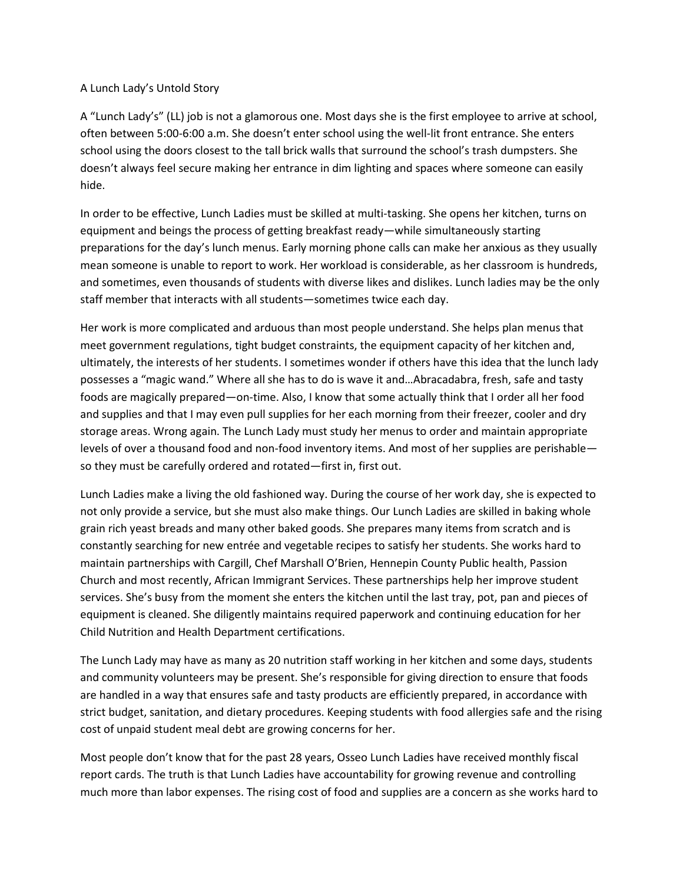## A Lunch Lady's Untold Story

A "Lunch Lady's" (LL) job is not a glamorous one. Most days she is the first employee to arrive at school, often between 5:00-6:00 a.m. She doesn't enter school using the well-lit front entrance. She enters school using the doors closest to the tall brick walls that surround the school's trash dumpsters. She doesn't always feel secure making her entrance in dim lighting and spaces where someone can easily hide.

In order to be effective, Lunch Ladies must be skilled at multi-tasking. She opens her kitchen, turns on equipment and beings the process of getting breakfast ready—while simultaneously starting preparations for the day's lunch menus. Early morning phone calls can make her anxious as they usually mean someone is unable to report to work. Her workload is considerable, as her classroom is hundreds, and sometimes, even thousands of students with diverse likes and dislikes. Lunch ladies may be the only staff member that interacts with all students—sometimes twice each day.

Her work is more complicated and arduous than most people understand. She helps plan menus that meet government regulations, tight budget constraints, the equipment capacity of her kitchen and, ultimately, the interests of her students. I sometimes wonder if others have this idea that the lunch lady possesses a "magic wand." Where all she has to do is wave it and…Abracadabra, fresh, safe and tasty foods are magically prepared—on-time. Also, I know that some actually think that I order all her food and supplies and that I may even pull supplies for her each morning from their freezer, cooler and dry storage areas. Wrong again. The Lunch Lady must study her menus to order and maintain appropriate levels of over a thousand food and non-food inventory items. And most of her supplies are perishable so they must be carefully ordered and rotated—first in, first out.

Lunch Ladies make a living the old fashioned way. During the course of her work day, she is expected to not only provide a service, but she must also make things. Our Lunch Ladies are skilled in baking whole grain rich yeast breads and many other baked goods. She prepares many items from scratch and is constantly searching for new entrée and vegetable recipes to satisfy her students. She works hard to maintain partnerships with Cargill, Chef Marshall O'Brien, Hennepin County Public health, Passion Church and most recently, African Immigrant Services. These partnerships help her improve student services. She's busy from the moment she enters the kitchen until the last tray, pot, pan and pieces of equipment is cleaned. She diligently maintains required paperwork and continuing education for her Child Nutrition and Health Department certifications.

The Lunch Lady may have as many as 20 nutrition staff working in her kitchen and some days, students and community volunteers may be present. She's responsible for giving direction to ensure that foods are handled in a way that ensures safe and tasty products are efficiently prepared, in accordance with strict budget, sanitation, and dietary procedures. Keeping students with food allergies safe and the rising cost of unpaid student meal debt are growing concerns for her.

Most people don't know that for the past 28 years, Osseo Lunch Ladies have received monthly fiscal report cards. The truth is that Lunch Ladies have accountability for growing revenue and controlling much more than labor expenses. The rising cost of food and supplies are a concern as she works hard to